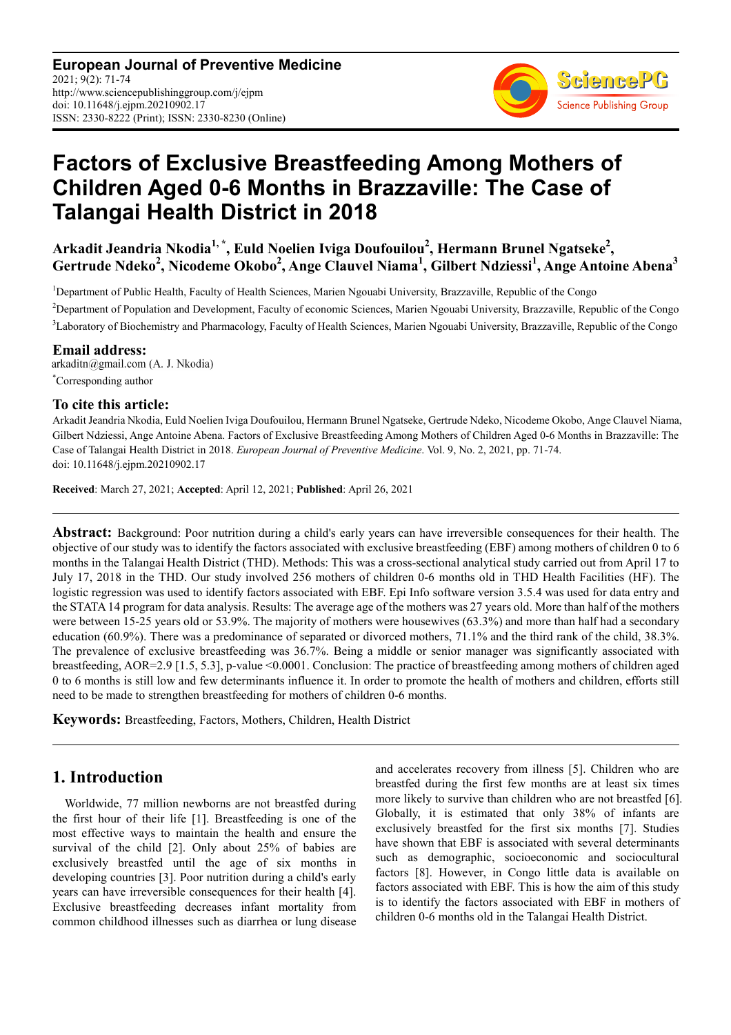**European Journal of Preventive Medicine** 2021; 9(2): 71-74 http://www.sciencepublishinggroup.com/j/ejpm doi: 10.11648/j.ejpm.20210902.17 ISSN: 2330-8222 (Print); ISSN: 2330-8230 (Online)



# **Factors of Exclusive Breastfeeding Among Mothers of Children Aged 0-6 Months in Brazzaville: The Case of Talangai Health District in 2018**

**Arkadit Jeandria Nkodia1, \*, Euld Noelien Iviga Doufouilou<sup>2</sup> , Hermann Brunel Ngatseke<sup>2</sup> , Gertrude Ndeko<sup>2</sup> , Nicodeme Okobo<sup>2</sup> , Ange Clauvel Niama<sup>1</sup> , Gilbert Ndziessi<sup>1</sup> , Ange Antoine Abena<sup>3</sup>**

<sup>1</sup>Department of Public Health, Faculty of Health Sciences, Marien Ngouabi University, Brazzaville, Republic of the Congo

<sup>2</sup>Department of Population and Development, Faculty of economic Sciences, Marien Ngouabi University, Brazzaville, Republic of the Congo <sup>3</sup>Laboratory of Biochemistry and Pharmacology, Faculty of Health Sciences, Marien Ngouabi University, Brazzaville, Republic of the Congo

**Email address:**<br>arkaditn@gmail.com (A. J. Nkodia) \*Corresponding author

### **To cite this article:**

Arkadit Jeandria Nkodia, Euld Noelien Iviga Doufouilou, Hermann Brunel Ngatseke, Gertrude Ndeko, Nicodeme Okobo, Ange Clauvel Niama, Gilbert Ndziessi, Ange Antoine Abena. Factors of Exclusive Breastfeeding Among Mothers of Children Aged 0-6 Months in Brazzaville: The Case of Talangai Health District in 2018. *European Journal of Preventive Medicine*. Vol. 9, No. 2, 2021, pp. 71-74. doi: 10.11648/j.ejpm.20210902.17

**Received**: March 27, 2021; **Accepted**: April 12, 2021; **Published**: April 26, 2021

**Abstract:** Background: Poor nutrition during a child's early years can have irreversible consequences for their health. The objective of our study was to identify the factors associated with exclusive breastfeeding (EBF) among mothers of children 0 to 6 months in the Talangai Health District (THD). Methods: This was a cross-sectional analytical study carried out from April 17 to July 17, 2018 in the THD. Our study involved 256 mothers of children 0-6 months old in THD Health Facilities (HF). The logistic regression was used to identify factors associated with EBF. Epi Info software version 3.5.4 was used for data entry and the STATA 14 program for data analysis. Results: The average age of the mothers was 27 years old. More than half of the mothers were between 15-25 years old or 53.9%. The majority of mothers were housewives (63.3%) and more than half had a secondary education (60.9%). There was a predominance of separated or divorced mothers, 71.1% and the third rank of the child, 38.3%. The prevalence of exclusive breastfeeding was 36.7%. Being a middle or senior manager was significantly associated with breastfeeding, AOR=2.9 [1.5, 5.3], p-value <0.0001. Conclusion: The practice of breastfeeding among mothers of children aged 0 to 6 months is still low and few determinants influence it. In order to promote the health of mothers and children, efforts still need to be made to strengthen breastfeeding for mothers of children 0-6 months.

**Keywords:** Breastfeeding, Factors, Mothers, Children, Health District

## **1. Introduction**

Worldwide, 77 million newborns are not breastfed during the first hour of their life [1]. Breastfeeding is one of the most effective ways to maintain the health and ensure the survival of the child [2]. Only about 25% of babies are exclusively breastfed until the age of six months in developing countries [3]. Poor nutrition during a child's early years can have irreversible consequences for their health [4]. Exclusive breastfeeding decreases infant mortality from common childhood illnesses such as diarrhea or lung disease and accelerates recovery from illness [5]. Children who are breastfed during the first few months are at least six times more likely to survive than children who are not breastfed [6]. Globally, it is estimated that only 38% of infants are exclusively breastfed for the first six months [7]. Studies have shown that EBF is associated with several determinants such as demographic, socioeconomic and sociocultural factors [8]. However, in Congo little data is available on factors associated with EBF. This is how the aim of this study is to identify the factors associated with EBF in mothers of children 0-6 months old in the Talangai Health District.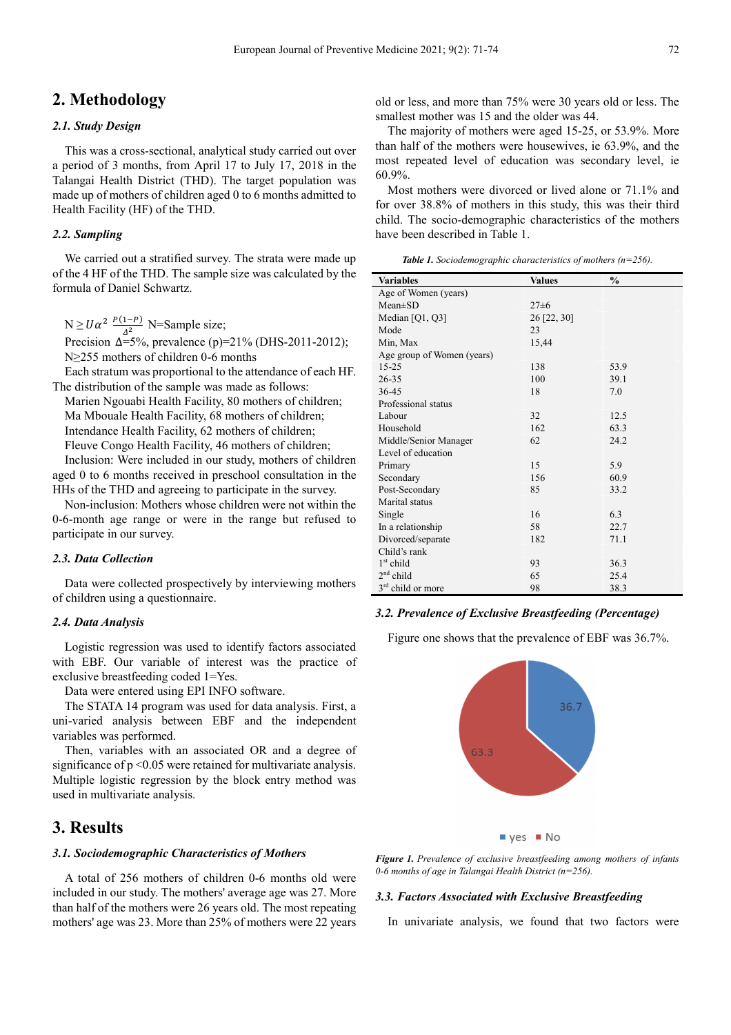## **2. Methodology**

#### *2.1. Study Design*

This was a cross-sectional, analytical study carried out over a period of 3 months, from April 17 to July 17, 2018 in the Talangai Health District (THD). The target population was made up of mothers of children aged 0 to 6 months admitted to Health Facility (HF) of the THD.

#### *2.2. Sampling*

We carried out a stratified survey. The strata were made up of the 4 HF of the THD. The sample size was calculated by the formula of Daniel Schwartz.

 $N \ge U\alpha^2 \frac{P(1-P)}{\Delta^2}$  N=Sample size; Precision  $\Delta = 5\%$ , prevalence (p)=21% (DHS-2011-2012);

N≥255 mothers of children 0-6 months

Each stratum was proportional to the attendance of each HF. The distribution of the sample was made as follows:

Marien Ngouabi Health Facility, 80 mothers of children; Ma Mbouale Health Facility, 68 mothers of children; Intendance Health Facility, 62 mothers of children; Fleuve Congo Health Facility, 46 mothers of children; Inclusion: Were included in our study, mothers of children aged 0 to 6 months received in preschool consultation in the HHs of the THD and agreeing to participate in the survey.

Non-inclusion: Mothers whose children were not within the 0-6-month age range or were in the range but refused to participate in our survey.

#### *2.3. Data Collection*

Data were collected prospectively by interviewing mothers of children using a questionnaire.

#### *2.4. Data Analysis*

Logistic regression was used to identify factors associated with EBF. Our variable of interest was the practice of exclusive breastfeeding coded 1=Yes.

Data were entered using EPI INFO software.

The STATA 14 program was used for data analysis. First, a uni-varied analysis between EBF and the independent variables was performed.

Then, variables with an associated OR and a degree of significance of  $p \le 0.05$  were retained for multivariate analysis. Multiple logistic regression by the block entry method was used in multivariate analysis.

## **3. Results**

#### *3.1. Sociodemographic Characteristics of Mothers*

A total of 256 mothers of children 0-6 months old were included in our study. The mothers' average age was 27. More than half of the mothers were 26 years old. The most repeating mothers' age was 23. More than 25% of mothers were 22 years old or less, and more than 75% were 30 years old or less. The smallest mother was 15 and the older was 44.

The majority of mothers were aged 15-25, or 53.9%. More than half of the mothers were housewives, ie 63.9%, and the most repeated level of education was secondary level, ie 60.9%.

Most mothers were divorced or lived alone or 71.1% and for over 38.8% of mothers in this study, this was their third child. The socio-demographic characteristics of the mothers have been described in Table 1.

*Table 1. Sociodemographic characteristics of mothers (n=256).* 

| <b>Variables</b>              | <b>Values</b> | $\frac{0}{0}$ |  |  |  |
|-------------------------------|---------------|---------------|--|--|--|
| Age of Women (years)          |               |               |  |  |  |
| $Mean \pm SD$                 | $27 \pm 6$    |               |  |  |  |
| Median $[Q1, Q3]$             | 26 [22, 30]   |               |  |  |  |
| Mode                          | 23            |               |  |  |  |
| Min, Max                      | 15,44         |               |  |  |  |
| Age group of Women (years)    |               |               |  |  |  |
| $15 - 25$                     | 138           | 53.9          |  |  |  |
| 26-35                         | 100           | 39.1          |  |  |  |
| 36-45                         | 18            | 7.0           |  |  |  |
| Professional status           |               |               |  |  |  |
| Labour                        | 32            | 12.5          |  |  |  |
| Household                     | 162           | 63.3          |  |  |  |
| Middle/Senior Manager         | 62            | 24.2          |  |  |  |
| Level of education            |               |               |  |  |  |
| Primary                       | 15            | 5.9           |  |  |  |
| Secondary                     | 156           | 60.9          |  |  |  |
| Post-Secondary                | 85            | 33.2          |  |  |  |
| Marital status                |               |               |  |  |  |
| Single                        | 16            | 6.3           |  |  |  |
| In a relationship             | 58            | 22.7          |  |  |  |
| Divorced/separate             | 182           | 71.1          |  |  |  |
| Child's rank                  |               |               |  |  |  |
| $1st$ child                   | 93            | 36.3          |  |  |  |
| $2nd$ child                   | 65            | 25.4          |  |  |  |
| 3 <sup>rd</sup> child or more | 98            | 38.3          |  |  |  |

#### *3.2. Prevalence of Exclusive Breastfeeding (Percentage)*

Figure one shows that the prevalence of EBF was 36.7%.



 $yes$  No

*Figure 1. Prevalence of exclusive breastfeeding among mothers of infants 0-6 months of age in Talangai Health District (n=256).*

#### *3.3. Factors Associated with Exclusive Breastfeeding*

In univariate analysis, we found that two factors were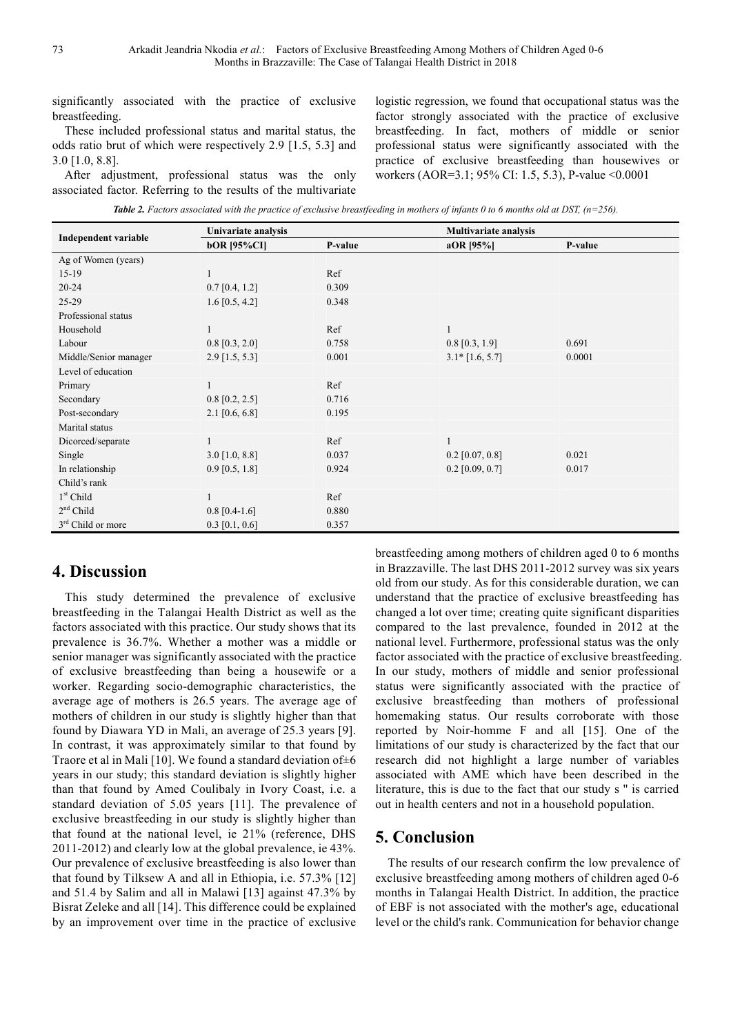significantly associated with the practice of exclusive breastfeeding.

These included professional status and marital status, the odds ratio brut of which were respectively 2.9 [1.5, 5.3] and 3.0 [1.0, 8.8].

After adjustment, professional status was the only associated factor. Referring to the results of the multivariate logistic regression, we found that occupational status was the factor strongly associated with the practice of exclusive breastfeeding. In fact, mothers of middle or senior professional status were significantly associated with the practice of exclusive breastfeeding than housewives or workers (AOR=3.1; 95% CI: 1.5, 5.3), P-value <0.0001

*Table 2. Factors associated with the practice of exclusive breastfeeding in mothers of infants 0 to 6 months old at DST, (n=256).* 

| <b>Independent variable</b> | Univariate analysis |         | <b>Multivariate analysis</b> |         |
|-----------------------------|---------------------|---------|------------------------------|---------|
|                             | <b>bOR</b> [95%CI]  | P-value | $aOR$ [95%]                  | P-value |
| Ag of Women (years)         |                     |         |                              |         |
| $15-19$                     | 1                   | Ref     |                              |         |
| $20 - 24$                   | $0.7$ [0.4, 1.2]    | 0.309   |                              |         |
| 25-29                       | $1.6$ [0.5, 4.2]    | 0.348   |                              |         |
| Professional status         |                     |         |                              |         |
| Household                   | 1                   | Ref     |                              |         |
| Labour                      | $0.8$ [0.3, 2.0]    | 0.758   | $0.8$ [0.3, 1.9]             | 0.691   |
| Middle/Senior manager       | $2.9$ [1.5, 5.3]    | 0.001   | $3.1*$ [1.6, 5.7]            | 0.0001  |
| Level of education          |                     |         |                              |         |
| Primary                     | 1                   | Ref     |                              |         |
| Secondary                   | $0.8$ [0.2, 2.5]    | 0.716   |                              |         |
| Post-secondary              | $2.1$ [0.6, 6.8]    | 0.195   |                              |         |
| Marital status              |                     |         |                              |         |
| Dicorced/separate           | 1                   | Ref     |                              |         |
| Single                      | $3.0$ [1.0, 8.8]    | 0.037   | $0.2$ [0.07, 0.8]            | 0.021   |
| In relationship             | $0.9$ [0.5, 1.8]    | 0.924   | $0.2$ [0.09, 0.7]            | 0.017   |
| Child's rank                |                     |         |                              |         |
| $1st$ Child                 | 1                   | Ref     |                              |         |
| $2nd$ Child                 | $0.8$ [0.4-1.6]     | 0.880   |                              |         |
| $3rd$ Child or more         | $0.3$ [0.1, 0.6]    | 0.357   |                              |         |

## **4. Discussion**

This study determined the prevalence of exclusive breastfeeding in the Talangai Health District as well as the factors associated with this practice. Our study shows that its prevalence is 36.7%. Whether a mother was a middle or senior manager was significantly associated with the practice of exclusive breastfeeding than being a housewife or a worker. Regarding socio-demographic characteristics, the average age of mothers is 26.5 years. The average age of mothers of children in our study is slightly higher than that found by Diawara YD in Mali, an average of 25.3 years [9]. In contrast, it was approximately similar to that found by Traore et al in Mali [10]. We found a standard deviation of±6 years in our study; this standard deviation is slightly higher than that found by Amed Coulibaly in Ivory Coast, i.e. a standard deviation of 5.05 years [11]. The prevalence of exclusive breastfeeding in our study is slightly higher than that found at the national level, ie 21% (reference, DHS 2011-2012) and clearly low at the global prevalence, ie 43%. Our prevalence of exclusive breastfeeding is also lower than that found by Tilksew A and all in Ethiopia, i.e. 57.3% [12] and 51.4 by Salim and all in Malawi [13] against 47.3% by Bisrat Zeleke and all [14]. This difference could be explained by an improvement over time in the practice of exclusive

breastfeeding among mothers of children aged 0 to 6 months in Brazzaville. The last DHS 2011-2012 survey was six years old from our study. As for this considerable duration, we can understand that the practice of exclusive breastfeeding has changed a lot over time; creating quite significant disparities compared to the last prevalence, founded in 2012 at the national level. Furthermore, professional status was the only factor associated with the practice of exclusive breastfeeding. In our study, mothers of middle and senior professional status were significantly associated with the practice of exclusive breastfeeding than mothers of professional homemaking status. Our results corroborate with those reported by Noir-homme F and all [15]. One of the limitations of our study is characterized by the fact that our research did not highlight a large number of variables associated with AME which have been described in the literature, this is due to the fact that our study s '' is carried out in health centers and not in a household population.

## **5. Conclusion**

The results of our research confirm the low prevalence of exclusive breastfeeding among mothers of children aged 0-6 months in Talangai Health District. In addition, the practice of EBF is not associated with the mother's age, educational level or the child's rank. Communication for behavior change